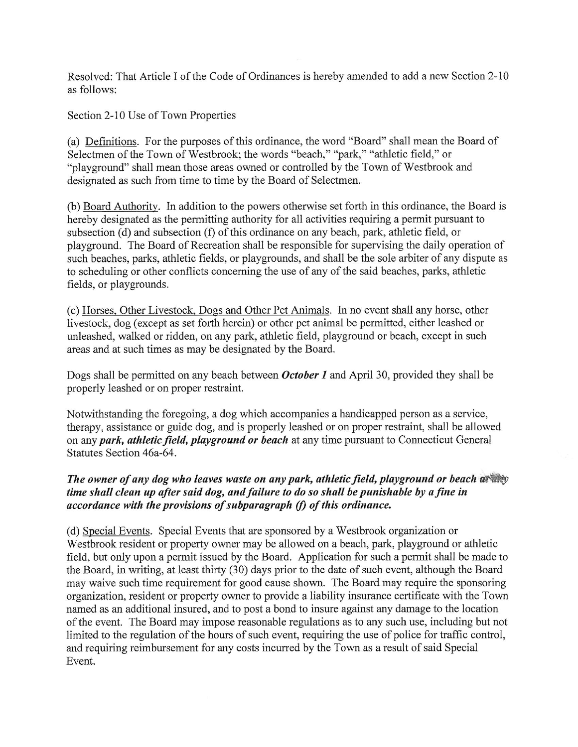Resolved: That Article I of the Code of Ordinances is hereby amended to add a new Section 2-10 as follows:

Section 2-10 Use of Town Properties

(a) Definitions. For the purposes of this ordinance, the word "Board" shall mean the Board of Selectmen of the Town of Westbrook; the words "beach," "park," "athletic field," or "playground" shall mean those areas owned or controlled by the Town of Westbrook and designated as such from time to time by the Board of Selectmen.

(b) Board Authority. In addition to the powers otherwise set forth in this ordinance, the Board is hereby designated as the permitting authority for all activities requiring a permit pursuant to subsection (d) and subsection (f) of this ordinance on any beach, park, athletic field, or playground. The Board of Recreation shall be responsible for supervising the daily operation of such beaches, parks; athletic fields, or playgrounds, and shall be the sole arbiter of any dispute as to scheduling or other conflicts concerning the use of any of the said beaches, parks, athletic fields, or playgrounds.

(c) Horses, Other Livestock, Dogs and Other Pet Animals. In no event shall any horse, other livestock, dog (except as set forth herein) or other pet animal be permitted, either leashed or unleashed, walked or ridden, on any park, athletic field, playground or beach, except in such areas and at such times as may be designated by the Board.

Dogs shall be permitted on any beach between *October 1* and April 30, provided they shall be properly leashed or on proper restraint.

Notwithstanding the foregoing, a dog which accompanies a handicapped person as a service ; therapy, assistance or guide dog, and is properly leashed or on proper restraint, shall be allowed on any park, athletic field, playground or beach at any time pursuant to Connecticut General Statutes Section 46a-64.

## The owner of any dog who leaves waste on any park, athletic field, playground or beach at thy time shall clean up after said dog, and failure to do so shall be punishable by a fine in accordance with the provisions of subparagraph (f) of this ordinance.

(d) Special Events. Special Events that are sponsored by a Westbrook organization or Westbrook resident or property owner may be allowed on a beach, park, playground or athletic field, but only upon a permit issued by the Board. Application for such a permit shall be made to the Board, in writing, at least thirty (30) days prior to the date of such event, although the Board may waive such time requirement for good cause shown. The Board may require the sponsoring organization, resident or property owner to provide a liability insurance certificate with the Town named as an additional insured, and to post a bond to insure against any damage to the location of the event. The Board may impose reasonable regulations as to any such use, including but not limited to the regulation of the hours of such event, requiring the use of police for traffic control, and requiring reimbursement for any costs incurred by the Town as a result of said Special Event.